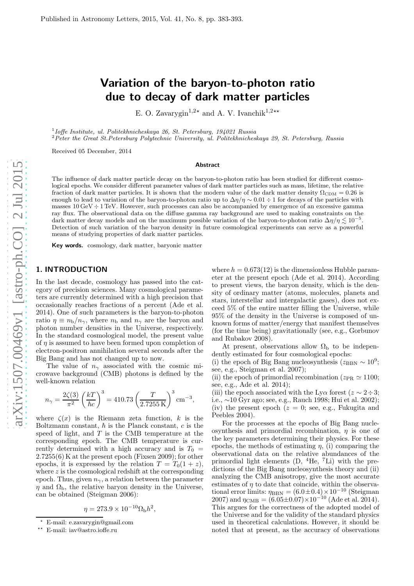# Variation of the baryon-to-photon ratio due to decay of dark matter particles

E. O. Zavarygin<sup>1,2</sup><sup>\*</sup> and A. V. Ivanchik<sup>1,2\*\*</sup>

1 Ioffe Institute, ul. Politekhnicheskaya 26, St. Petersburg, 194021 Russia

<sup>2</sup>Peter the Great St.Petersburg Polytechnic University, ul. Politekhnicheskaya 29, St. Petersburg, Russia

Received 05 December, 2014

#### Abstract

The influence of dark matter particle decay on the baryon-to-photon ratio has been studied for different cosmological epochs. We consider different parameter values of dark matter particles such as mass, lifetime, the relative fraction of dark matter particles. It is shown that the modern value of the dark matter density  $\Omega_{CDM} = 0.26$  is enough to lead to variation of the baryon-to-photon ratio up to  $\Delta\eta/\eta \sim 0.01 \div 1$  for decays of the particles with masses  $10 \text{ GeV} \div 1 \text{ TeV}$ . However, such processes can also be accompanied by emergence of an excessive gamma ray flux. The observational data on the diffuse gamma ray background are used to making constraints on the dark matter decay models and on the maximum possible variation of the baryon-to-photon ratio  $\Delta \eta / \eta \lesssim 10^{-5}$ . Detection of such variation of the baryon density in future cosmological experiments can serve as a powerful means of studying properties of dark matter particles.

Key words. cosmology, dark matter, baryonic matter

## 1. INTRODUCTION

In the last decade, cosmology has passed into the category of precision sciences. Many cosmological parameters are currently determined with a high precision that occasionally reaches fractions of a percent (Ade et al. 2014). One of such parameters is the baryon-to-photon ratio  $\eta \equiv n_{\rm b}/n_{\gamma}$ , where  $n_{\rm b}$  and  $n_{\gamma}$  are the baryon and photon number densities in the Universe, respectively. In the standard cosmological model, the present value of  $\eta$  is assumed to have been formed upon completion of electron-positron annihilation several seconds after the Big Bang and has not changed up to now.

The value of  $n_{\gamma}$  associated with the cosmic microwave background (CMB) photons is defined by the well-known relation

$$
n_{\gamma} = \frac{2\zeta(3)}{\pi^2} \left(\frac{kT}{\hbar c}\right)^3 = 410.73 \left(\frac{T}{2.7255 \text{ K}}\right)^3 \text{ cm}^{-3},
$$

where  $\zeta(x)$  is the Riemann zeta function, k is the Boltzmann constant,  $\hbar$  is the Planck constant, c is the speed of light, and  $T$  is the CMB temperature at the corresponding epoch. The CMB temperature is currently determined with a high accuracy and is  $T_0$  = 2.7255(6) K at the present epoch (Fixsen 2009); for other epochs, it is expressed by the relation  $T = T_0(1 + z)$ , where  $z$  is the cosmological redshift at the corresponding epoch. Thus, given  $n_{\gamma}$ , a relation between the parameter  $\eta$  and  $\Omega_{\rm b}$ , the relative baryon density in the Universe, can be obtained (Steigman 2006):

$$
\eta = 273.9 \times 10^{-10} \Omega_{\rm b} h^2,
$$

where  $h = 0.673(12)$  is the dimensionless Hubble parameter at the present epoch (Ade et al. 2014). According to present views, the baryon density, which is the density of ordinary matter (atoms, molecules, planets and stars, interstellar and intergalactic gases), does not exceed 5% of the entire matter filling the Universe, while 95% of the density in the Universe is composed of unknown forms of matter/energy that manifest themselves (for the time being) gravitationally (see, e.g., Gorbunov and Rubakov 2008).

At present, observations allow  $\Omega_{\rm b}$  to be independently estimated for four cosmological epochs:

(i) the epoch of Big Bang nucleosynthesis ( $z_{\rm BBN} \sim 10^9$ ; see, e.g., Steigman et al. 2007);

(ii) the epoch of primordial recombination ( $z_{PR} \simeq 1100$ ; see, e.g., Ade et al. 2014);

(iii) the epoch associated with the Ly $\alpha$  forest ( $z \sim 2 \div 3$ ; i.e., ∼10 Gyr ago; see, e.g., Rauch 1998; Hui et al. 2002); (iv) the present epoch  $(z = 0; \text{ see, e.g., Fukugita and})$ Peebles 2004).

For the processes at the epochs of Big Bang nucleosynthesis and primordial recombination,  $\eta$  is one of the key parameters determining their physics. For these epochs, the methods of estimating  $\eta$ , (i) comparing the observational data on the relative abundances of the primordial light elements  $(D, 4He, 7Li)$  with the predictions of the Big Bang nucleosynthesis theory and (ii) analyzing the CMB anisotropy, give the most accurate estimates of  $n$  to date that coincide, within the observational error limits:  $\eta_{\rm BBN} = (6.0 \pm 0.4) \times 10^{-10}$  (Steigman 2007) and  $\eta_{\rm CMB} = (6.05 \pm 0.07) \times 10^{-10}$  (Ade et al. 2014). This argues for the correctness of the adopted model of the Universe and for the validity of the standard physics used in theoretical calculations. However, it should be noted that at present, as the accuracy of observations

<sup>⋆</sup> E-mail: e.zavarygin@gmail.com

<sup>⋆⋆</sup> E-mail: iav@astro.ioffe.ru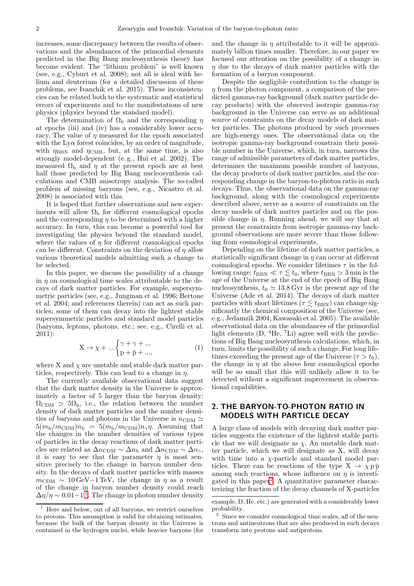increases, some discrepancy between the results of observations and the abundances of the primordial elements predicted in the Big Bang nucleosynthesis theory has become evident. The "lithium problem" is well known (see, e.g., Cyburt et al. 2008); not all is ideal with helium and deuterium (for a detailed discussion of these problems, see Ivanchik et al. 2015). These inconsistencies can be related both to the systematic and statistical errors of experiments and to the manifestations of new physics (physics beyond the standard model).

The determination of  $\Omega_{\rm b}$  and the corresponding  $\eta$ at epochs (iii) and (iv) has a considerably lower accuracy. The value of  $\eta$  measured for the epoch associated with the  $Ly\alpha$  forest coincides, by an order of magnitude, with  $\eta_{\rm BBN}$  and  $\eta_{\rm CMB}$ , but, at the same time, is also strongly model-dependent (e. g., Hui et al. 2002). The measured  $\Omega_{\rm b}$  and *n* at the present epoch are at best half those predicted by Big Bang nucleosynthesis calculations and CMB anisotropy analysis. The so-called problem of missing baryons (see, e.g., Nicastro et al. 2008) is associated with this.

It is hoped that further observations and new experiments will allow  $\Omega_{\rm b}$  for different cosmological epochs and the corresponding  $\eta$  to be determined with a higher accuracy. In turn, this can become a powerful tool for investigating the physics beyond the standard model, where the values of  $\eta$  for different cosmological epochs can be different. Constraints on the deviation of  $\eta$  allow various theoretical models admitting such a change to be selected.

In this paper, we discuss the possibility of a change in  $\eta$  on cosmological time scales attributable to the decays of dark matter particles. For example, supersymmetric particles (see, e.g., Jungman et al. 1996; Bertone et al. 2004; and references therein) can act as such particles; some of them can decay into the lightest stable supersymmetric particles and standard model particles (baryons, leptons, photons, etc.; see, e.g., Cirelli et al. 2011):

$$
X \to \chi + \dots \begin{cases} \gamma + \gamma + \dots \\ p + \bar{p} + \dots, \end{cases} \tag{1}
$$

where X and  $\chi$  are unstable and stable dark matter particles, respectively. This can lead to a change in  $\eta$ .

The currently available observational data suggest that the dark matter density in the Universe is approximately a factor of 5 larger than the baryon density:  $\Omega_{\text{CDM}} \simeq 5\Omega_{\text{b}}$ , i.e., the relation between the number density of dark matter particles and the number densities of baryons and photons in the Universe is  $n_{CDM} \simeq$  $5(m_b/m_{\text{CDM}})n_b = 5(m_b/m_{\text{CDM}})n_{\gamma}n$ . Assuming that the changes in the number densities of various types of particles in the decay reactions of dark matter particles are related as  $\Delta n_{\text{CDM}} \sim \Delta n_{\text{b}}$  and  $\Delta n_{\text{CDM}} \sim \Delta n_{\gamma}$ , it is easy to see that the parameter  $\eta$  is most sensitive precisely to the change in baryon number density. In the decays of dark matter particles with masses  $m_{\text{CDM}} \sim 10 \,\text{GeV} - 1 \,\text{TeV}$ , the change in  $\eta$  as a result of the change in baryon number density could reach  $\Delta \eta / \eta \sim 0.01 - 1^{-1}$  $\Delta \eta / \eta \sim 0.01 - 1^{-1}$  $\Delta \eta / \eta \sim 0.01 - 1^{-1}$ . The change in photon number density

and the change in  $\eta$  attributable to it will be approximately billion times smaller. Therefore, in our paper we focused our attention on the possibility of a change in  $\eta$  due to the decays of dark matter particles with the formation of a baryon component.

Despite the negligible contribution to the change in  $\eta$  from the photon component, a comparison of the predicted gamma-ray background (dark matter particle decay products) with the observed isotropic gamma-ray background in the Universe can serve as an additional source of constraints on the decay models of dark matter particles. The photons produced by such processes are high-energy ones. The observational data on the isotropic gamma-ray background constrain their possible number in the Universe, which, in turn, narrows the range of admissible parameters of dark matter particles, determines the maximum possible number of baryons, the decay products of dark matter particles, and the corresponding change in the baryon-to-photon ratio in such decays. Thus, the observational data on the gamma-ray background, along with the cosmological experiments described above, serve as a source of constraints on the decay models of dark matter particles and on the possible change in  $\eta$ . Running ahead, we will say that at present the constraints from isotropic gamma-ray background observations are more severe than those following from cosmological experiments.

Depending on the lifetime of dark matter particles, a statistically significant change in  $\eta$  can occur at different cosmological epochs. We consider lifetimes  $\tau$  in the following range:  $t_{\text{BBN}} \ll \tau \lesssim t_0$ , where  $t_{\text{BBN}} \simeq 3$  min is the age of the Universe at the end of the epoch of Big Bang nucleosynthesis,  $t_0 \approx 13.8$  Gyr is the present age of the Universe (Ade et al. 2014). The decays of dark matter particles with short lifetimes ( $\tau \lesssim t_{\text{BBN}}$ ) can change significantly the chemical composition of the Universe (see, e.g., Jedamzik 2004; Kawasaki et al. 2005). The available observational data on the abundances of the primordial light elements  $(D, 4He, 7Li)$  agree well with the predictions of Big Bang nucleosynthesis calculations, which, in turn, limits the possibility of such a change. For long lifetimes exceeding the present age of the Universe ( $\tau > t_0$ ), the change in  $\eta$  at the above four cosmological epochs will be so small that this will unlikely allow it to be detected without a significant improvement in observational capabilities.

## 2. THE BARYON-TO-PHOTON RATIO IN MODELS WITH PARTICLE DECAY

A large class of models with decaying dark matter particles suggests the existence of the lightest stable particle that we will designate as  $\chi$ . An unstable dark matter particle, which we will designate as X, will decay with time into a  $\chi$ -particle and standard model particles. There can be reactions of the type  $X \to \chi p \bar{p}$ among such reactions, whose influence on  $\eta$  is investigated in this paper[2](#page-1-1) . A quantitative parameter characterizing the fraction of the decay channels of X-particles

<span id="page-1-0"></span> $^{-1}\,$  Here and below, out of all baryons, we restrict ourselves to protons. This assumption is valid for obtaining estimates, because the bulk of the baryon density in the Universe is contained in the hydrogen nuclei, while heavier baryons (for

example, D, He, etc.) are generated with a considerably lower probability.

<span id="page-1-1"></span><sup>&</sup>lt;sup>2</sup> Since we consider cosmological time scales, all of the neutrons and antineutrons that are also produced in such decays transform into protons and antiprotons.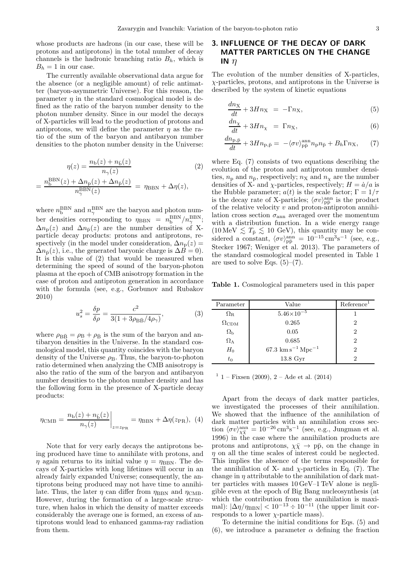whose products are hadrons (in our case, these will be protons and antiprotons) in the total number of decay channels is the hadronic branching ratio  $B_h$ , which is  $B_h = 1$  in our case.

The currently available observational data argue for the absence (or a negligible amount) of relic antimatter (baryon-asymmetric Universe). For this reason, the parameter  $\eta$  in the standard cosmological model is defined as the ratio of the baryon number density to the photon number density. Since in our model the decays of X-particles will lead to the production of protons and antiprotons, we will define the parameter  $\eta$  as the ratio of the sum of the baryon and antibaryon number densities to the photon number density in the Universe:

$$
\eta(z) = \frac{n_{\text{b}}(z) + n_{\text{b}}(z)}{n_{\gamma}(z)}\tag{2}
$$
\n
$$
B\text{B}(z) + \Delta n(z) + \Delta n_{\text{c}}(z)
$$

$$
= \frac{n_b^{BBN}(z) + \Delta n_p(z) + \Delta n_{\bar{p}}(z)}{n_{\gamma}^{BBN}(z)} = \eta_{BBN} + \Delta \eta(z),
$$

where  $n_{\mathrm{b}}^{\mathrm{B}}$  $_{\rm b}^{\rm BBN}$  and  $n_{\gamma}^{\rm BBN}$ <sup>N</sup> are the baryon and photon number densities corresponding to  $\eta_{\rm BBN} = n_{\rm b}^{\rm BBN}/n_{\gamma}^{\rm BBN}$ ;  $\Delta n_{\rm p}(z)$  and  $\Delta n_{\bar{\rm p}}(z)$  are the number densities of Xparticle decay products: protons and antiprotons, respectively (in the model under consideration,  $\Delta n_{\rm p}(z)$  =  $\Delta n_{\bar{p}}(z)$ , i.e., the generated baryonic charge is  $\Delta B = 0$ ). It is this value of (2) that would be measured when determining the speed of sound of the baryon-photon plasma at the epoch of CMB anisotropy formation in the case of proton and antiproton generation in accordance with the formula (see, e.g., Gorbunov and Rubakov 2010)

$$
u_s^2 = \frac{\delta p}{\delta \rho} = \frac{c^2}{3(1 + 3\rho_{\text{B}\bar{\text{B}}}/4\rho_\gamma)},\tag{3}
$$

where  $\rho_{\rm B\bar{B}} = \rho_{\rm B} + \rho_{\bar{\rm B}}$  is the sum of the baryon and antibaryon densities in the Universe. In the standard cosmological model, this quantity coincides with the baryon density of the Universe  $\rho_B$ . Thus, the baryon-to-photon ratio determined when analyzing the CMB anisotropy is also the ratio of the sum of the baryon and antibaryon number densities to the photon number density and has the following form in the presence of X-particle decay products:

$$
\eta_{\rm CMB} = \frac{n_{\rm b}(z) + n_{\rm b}(z)}{n_{\gamma}(z)} \bigg|_{z = z_{\rm PR}} = \eta_{\rm BBN} + \Delta \eta(z_{\rm PR}), \tag{4}
$$

Note that for very early decays the antiprotons being produced have time to annihilate with protons, and  $\eta$  again returns to its initial value  $\eta = \eta_{\rm BBN}$ . The decays of X-particles with long lifetimes will occur in an already fairly expanded Universe; consequently, the antiprotons being produced may not have time to annihilate. Thus, the later  $\eta$  can differ from  $\eta_{\rm BBN}$  and  $\eta_{\rm CMB}$ . However, during the formation of a large-scale structure, when halos in which the density of matter exceeds considerably the average one is formed, an excess of antiprotons would lead to enhanced gamma-ray radiation from them.

### 3. INFLUENCE OF THE DECAY OF DARK MATTER PARTICLES ON THE CHANGE IN  $\eta$

The evolution of the number densities of X-particles, χ-particles, protons, and antiprotons in the Universe is described by the system of kinetic equations

$$
\frac{dn_{\rm X}}{dt} + 3Hn_{\rm X} = -\Gamma n_{\rm X},\tag{5}
$$

$$
\frac{dn_X}{dt} + 3Hn_X = \Gamma n_X,\tag{6}
$$

$$
\frac{dn_{\rm p,\bar{p}}}{dt} + 3Hn_{\rm p,\bar{p}} = -\langle \sigma v \rangle_{\rm p\bar{p}}^{\rm ann} n_{\rm p} n_{\bar{p}} + B_h \Gamma n_{\rm X},\qquad(7)
$$

where Eq. (7) consists of two equations describing the evolution of the proton and antiproton number densities,  $n_{\rm p}$  and  $n_{\bar{p}}$ , respectively;  $n_{\rm X}$  and  $n_{\rm \chi}$  are the number densities of X- and  $\chi$ -particles, respectively;  $H = \dot{a}/a$  is the Hubble parameter;  $a(t)$  is the scale factor;  $\Gamma = 1/\tau$ is the decay rate of X-particles;  $\langle \sigma v \rangle_{\text{p}\bar{\text{p}}}^{\text{ann}}$  is the product of the relative velocity  $v$  and proton-antiproton annihilation cross section  $\sigma_{\rm ann}$  averaged over the momentum with a distribution function. In a wide energy range  $(10 \,\text{MeV} \lesssim T_{\bar{p}} \lesssim 10 \,\text{GeV})$ , this quantity may be considered a constant,  $\langle \sigma v \rangle_{\text{p}\bar{\text{p}}}^{\text{ann}} = 10^{-15} \text{ cm}^3 \text{s}^{-1}$  (see, e.g., Stecker 1967; Weniger et al. 2013). The parameters of the standard cosmological model presented in Table 1 are used to solve Eqs.  $(5)-(7)$ .

Table 1. Cosmological parameters used in this paper

| Parameter          | Value                                     | Reference      |  |
|--------------------|-------------------------------------------|----------------|--|
| $\Omega_{\rm R}$   | $5.46\times10^{-5}$                       |                |  |
| $\Omega_{\rm CDM}$ | 0.265                                     | $\overline{2}$ |  |
| $\Omega_{\rm b}$   | 0.05                                      | $\overline{2}$ |  |
| $\Omega_{\Lambda}$ | 0.685                                     | 2              |  |
| $H_0$              | $67.3 \text{ km s}^{-1} \text{ Mpc}^{-1}$ | $\overline{2}$ |  |
| $t_0$              | 13.8 Gyr                                  | 2              |  |

 $1 -$  Fixsen (2009),  $2 -$  Ade et al. (2014)

Apart from the decays of dark matter particles, we investigated the processes of their annihilation. We showed that the influence of the annihilation of dark matter particles with an annihilation cross section  $\langle \sigma v \rangle_{\chi \bar{\chi}}^{\text{ann}} = 10^{-26} \text{ cm}^3 \text{s}^{-1}$  (see, e.g., Jungman et al. 1996) in the case where the annihilation products are protons and antiprotons,  $\chi \bar{\chi} \to p\bar{p}$ , on the change in  $\eta$  on all the time scales of interest could be neglected. This implies the absence of the terms responsible for the annihilation of X- and  $\chi$ -particles in Eq. (7). The change in  $\eta$  attributable to the annihilation of dark matter particles with masses 10 GeV–1 TeV alone is negligible even at the epoch of Big Bang nucleosynthesis (at which the contribution from the annihilation is maximal):  $|\Delta \eta / \eta_{\rm BBN}| < 10^{-13} \div 10^{-11}$  (the upper limit corresponds to a lower  $\chi$ -particle mass).

To determine the initial conditions for Eqs. (5) and (6), we introduce a parameter  $\alpha$  defining the fraction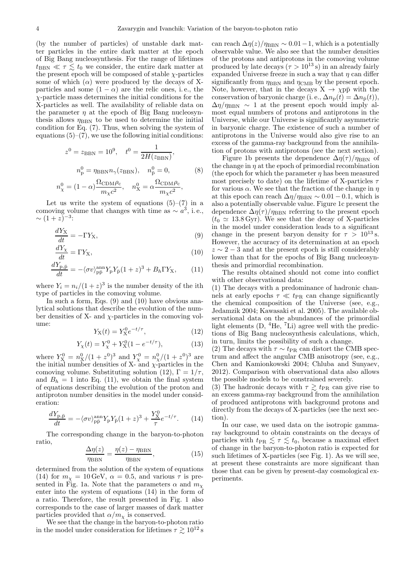(by the number of particles) of unstable dark matter particles in the entire dark matter at the epoch of Big Bang nucleosynthesis. For the range of lifetimes  $t_{\text{BBN}} \ll \tau \lesssim t_0$  we consider, the entire dark matter at the present epoch will be composed of stable  $\chi$ -particles some of which  $(\alpha)$  were produced by the decays of Xparticles and some  $(1 - \alpha)$  are the relic ones, i.e., the  $\chi$ -particle mass determines the initial conditions for the X-particles as well. The availability of reliable data on the parameter  $\eta$  at the epoch of Big Bang nucleosynthesis allows  $\eta_{\rm BBN}$  to be used to determine the initial condition for Eq. (7). Thus, when solving the system of equations  $(5)-(7)$ , we use the following initial conditions:

$$
z^{0} = z_{\text{BBN}} = 10^{9}, \quad t^{0} = \frac{1}{2H(z_{\text{BBN}})},
$$

$$
n_{\text{p}}^{0} = \eta_{\text{BBN}} n_{\gamma}(z_{\text{BBN}}), \quad n_{\text{p}}^{0} = 0,
$$
(8)

$$
n_{\chi}^{0} = (1 - \alpha) \frac{\Omega_{\rm CDM}\rho_{\rm c}}{m_{\chi}c^{2}}, \quad n_{\chi}^{0} = \alpha \frac{\Omega_{\rm CDM}\rho_{\rm c}}{m_{\chi}c^{2}},
$$

Let us write the system of equations  $(5)-(7)$  in a comoving volume that changes with time as  $\sim a^3$ , i.e.,  $\sim (1+z)^{-3}$ :

$$
\frac{dY_{\rm X}}{dt} = -\Gamma Y_{\rm X},\tag{9}
$$

$$
\frac{dY_{\chi}}{dt} = \Gamma Y_{\text{X}},\tag{10}
$$

$$
\frac{dY_{\mathbf{p},\bar{\mathbf{p}}}}{dt} = -\langle \sigma v \rangle_{\mathbf{p}\bar{\mathbf{p}}}^{\text{ann}} Y_{\mathbf{p}} Y_{\bar{\mathbf{p}}} (1+z)^3 + B_h \Gamma Y_{\mathbf{X}},\qquad(11)
$$

where  $Y_i = n_i/(1+z)^3$  is the number density of the ith type of particles in the comoving volume.

In such a form, Eqs. (9) and (10) have obvious analytical solutions that describe the evolution of the number densities of X- and  $\chi$ -particles in the comoving volume:

$$
Y_{\rm X}(t) = Y_{\rm X}^0 e^{-t/\tau},\tag{12}
$$

$$
Y_{\chi}(t) = Y_{\chi}^{0} + Y_{\chi}^{0} (1 - e^{-t/\tau}), \qquad (13)
$$

where  $Y_{\text{X}}^{0} = n_{\text{X}}^{0}/(1+z^{0})^{3}$  and  $Y_{\chi}^{0} = n_{\chi}^{0}/(1+z^{0})^{3}$  are the initial number densities of X- and  $\chi$ -particles in the comoving volume. Substituting solution (12),  $\Gamma = 1/\tau$ , and  $B_h = 1$  into Eq. (11), we obtain the final system of equations describing the evolution of the proton and antiproton number densities in the model under consideration:

$$
\frac{dY_{\mathbf{p},\bar{\mathbf{p}}}}{dt} = -\langle \sigma v \rangle_{\mathbf{p}\bar{\mathbf{p}}}^{\text{ann}} Y_{\mathbf{p}} Y_{\bar{\mathbf{p}}}(1+z)^3 + \frac{Y_{\mathbf{X}}^0}{\tau} e^{-t/\tau}.
$$
 (14)

The corresponding change in the baryon-to-photon ratio,

$$
\frac{\Delta \eta(z)}{\eta_{\rm BBN}} = \frac{\eta(z) - \eta_{\rm BBN}}{\eta_{\rm BBN}},\tag{15}
$$

determined from the solution of the system of equations (14) for  $m_{\chi} = 10 \,\text{GeV}, \alpha = 0.5$ , and various  $\tau$  is presented in Fig. 1a. Note that the parameters  $\alpha$  and  $m_{\chi}$ enter into the system of equations (14) in the form of a ratio. Therefore, the result presented in Fig. 1 also corresponds to the case of larger masses of dark matter particles provided that  $\alpha/m_{\chi}$  is conserved.

We see that the change in the baryon-to-photon ratio in the model under consideration for lifetimes  $\tau \gtrsim 10^{12}\,\mathrm{s}$  can reach  $\Delta \eta(z)/\eta_{\rm BBN} \sim 0.01-1$ , which is a potentially observable value. We also see that the number densities of the protons and antiprotons in the comoving volume produced by late decays  $(\tau > 10^{13} s)$  in an already fairly expanded Universe freeze in such a way that  $\eta$  can differ significantly from  $\eta_{\rm BBN}$  and  $\eta_{\rm CMB}$  by the present epoch. Note, however, that in the decays  $X \to \chi p\bar{p}$  with the conservation of baryonic charge (i. e.,  $\Delta n_{\rm p}(t) = \Delta n_{\bar{\rm p}}(t)$ ),  $\Delta\eta/\eta_{\rm BBN} \sim 1$  at the present epoch would imply almost equal numbers of protons and antiprotons in the Universe, while our Universe is significantly asymmetric in baryonic charge. The existence of such a number of antiprotons in the Universe would also give rise to an excess of the gamma-ray background from the annihilation of protons with antiprotons (see the next section).

Figure 1b presents the dependence  $\Delta n(\tau)/n_{\text{BBN}}$  of the change in  $\eta$  at the epoch of primordial recombination (the epoch for which the parameter  $\eta$  has been measured most precisely to date) on the lifetime of X-particles  $\tau$ for various  $\alpha$ . We see that the fraction of the change in  $\eta$ at this epoch can reach  $\Delta \eta / \eta_{\rm BBN} \sim 0.01 - 0.1$ , which is also a potentially observable value. Figure 1c present the dependence  $\Delta \eta(\tau)/\eta_{\rm BBN}$  referring to the present epoch  $(t_0 \approx 13.8 \,\text{Gyr})$ . We see that the decay of X-particles in the model under consideration leads to a significant change in the present baryon density for  $\tau > 10^{13}$  s. However, the accuracy of its determination at an epoch  $z \sim 2-3$  and at the present epoch is still considerably lower than that for the epochs of Big Bang nucleosynthesis and primordial recombination.

The results obtained should not come into conflict with other observational data:

(1) The decays with a predominance of hadronic channels at early epochs  $\tau \ll t_{PR}$  can change significantly the chemical composition of the Universe (see, e.g., Jedamzik 2004; Kawasaki et al. 2005). The available observational data on the abundances of the primordial light elements  $(D, 4He, 7Li)$  agree well with the predictions of Big Bang nucleosynthesis calculations, which, in turn, limits the possibility of such a change.

(2) The decays with  $\tau \sim t_{\rm PR}$  can distort the CMB spectrum and affect the angular CMB anisotropy (see, e.g., Chen and Kamionkowski 2004; Chluba and Sunyaev, 2012). Comparison with observational data also allows the possible models to be constrained severely.

(3) The hadronic decays with  $\tau \gtrsim t_{\text{PR}}$  can give rise to an excess gamma-ray background from the annihilation of produced antiprotons with background protons and directly from the decays of X-particles (see the next section).

In our case, we used data on the isotropic gammaray background to obtain constraints on the decays of particles with  $t_{PR} \lesssim \tau \lesssim t_0$ , because a maximal effect of change in the baryon-to-photon ratio is expected for such lifetimes of X-particles (see Fig. 1). As we will see, at present these constraints are more significant than those that can be given by present-day cosmological experiments.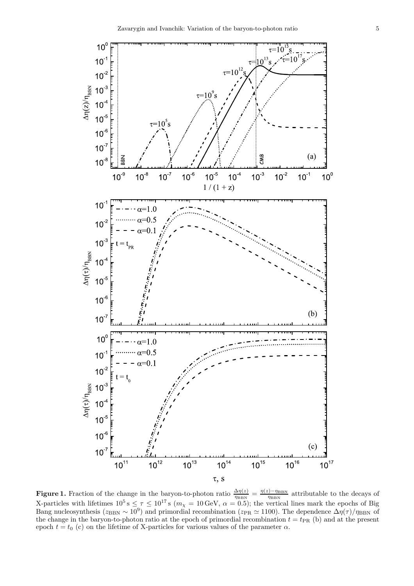

**Figure 1.** Fraction of the change in the baryon-to-photon ratio  $\frac{\Delta \eta(z)}{\eta_{\rm BBN}} = \frac{\eta(z) - \eta_{\rm BBN}}{\eta_{\rm BBN}}$  $\frac{D-\eta_{\rm BBN}}{\eta_{\rm BBN}}$  attributable to the decays of X-particles with lifetimes  $10^5$  s  $\leq \tau \leq 10^{17}$  s ( $m_{\chi} = 10$  GeV,  $\alpha = 0.5$ ); the vertical lines mark the epochs of Big Bang nucleosynthesis ( $z_{\rm BBN} \sim 10^9$ ) and primordial recombination ( $z_{\rm PR} \simeq 1100$ ). The dependence  $\Delta \eta(\tau)/\eta_{\rm BBN}$  of the change in the baryon-to-photon ratio at the epoch of primordial recombination  $t = t_{PR}$  (b) and at the present epoch  $t = t_0$  (c) on the lifetime of X-particles for various values of the parameter  $\alpha$ .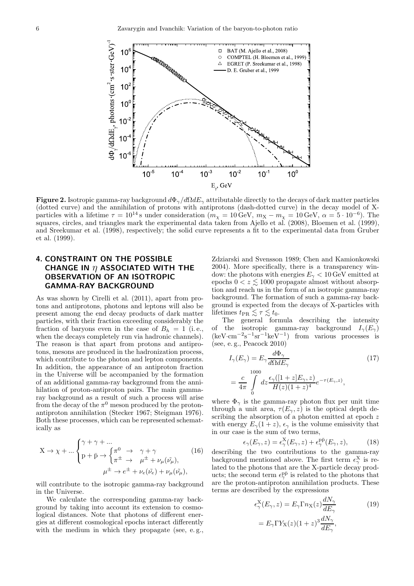

Figure 2. Isotropic gamma-ray background  $d\Phi_{\gamma}/d\Omega dE_{\gamma}$  attributable directly to the decays of dark matter particles (dotted curve) and the annihilation of protons with antiprotons (dash-dotted curve) in the decay model of Xparticles with a lifetime  $\tau = 10^{14}$  s under consideration  $(m_\chi = 10 \text{ GeV}, m_\chi - m_\chi = 10 \text{ GeV}, \alpha = 5 \cdot 10^{-6})$ . The squares, circles, and triangles mark the experimental data taken from Ajello et al. (2008), Bloemen et al. (1999), and Sreekumar et al. (1998), respectively; the solid curve represents a fit to the experimental data from Gruber et al. (1999).

## 4. CONSTRAINT ON THE POSSIBLE CHANGE IN  $\eta$  associated with the OBSERVATION OF AN ISOTROPIC GAMMA-RAY BACKGROUND

As was shown by Cirelli et al. (2011), apart from protons and antiprotons, photons and leptons will also be present among the end decay products of dark matter particles, with their fraction exceeding considerably the fraction of baryons even in the case of  $B_h = 1$  (i.e., when the decays completely run via hadronic channels). The reason is that apart from protons and antiprotons, mesons are produced in the hadronization process, which contribute to the photon and lepton components. In addition, the appearance of an antiproton fraction in the Universe will be accompanied by the formation of an additional gamma-ray background from the annihilation of proton-antiproton pairs. The main gammaray background as a result of such a process will arise from the decay of the  $\pi^0$  meson produced by the protonantiproton annihilation (Stecker 1967; Steigman 1976). Both these processes, which can be represented schematically as

$$
X \to \chi + \dots \begin{cases} \gamma + \gamma + \dots \\ p + \bar{p} \to \begin{cases} \pi^0 \to & \gamma + \gamma \\ \pi^{\pm} \to & \mu^{\pm} + \nu_{\mu}(\tilde{\nu}_{\mu}), \end{cases} \\ \mu^{\pm} \to e^{\pm} + \nu_{e}(\tilde{\nu}_{e}) + \nu_{\mu}(\tilde{\nu}_{\mu}), \end{cases}
$$
(16)

will contribute to the isotropic gamma-ray background in the Universe.

We calculate the corresponding gamma-ray background by taking into account its extension to cosmological distances. Note that photons of different energies at different cosmological epochs interact differently with the medium in which they propagate (see, e.g., Zdziarski and Svensson 1989; Chen and Kamionkowski 2004). More specifically, there is a transparency window: the photons with energies  $E_{\gamma}$  < 10 GeV emitted at epochs  $0 < z \leq 1000$  propagate almost without absorption and reach us in the form of an isotropic gamma-ray background. The formation of such a gamma-ray background is expected from the decays of X-particles with lifetimes  $t_{PR} \lesssim \tau \lesssim t_0$ .

The general formula describing the intensity of the isotropic gamma-ray background  $I_{\gamma}(E_{\gamma})$  $(keV·cm<sup>-2</sup>s<sup>-1</sup>sr<sup>-1</sup>keV<sup>-1</sup>)$  from various processes is (see, e. g., Peacock 2010)

$$
I_{\gamma}(E_{\gamma}) = E_{\gamma} \frac{d\Phi_{\gamma}}{d\Omega dE_{\gamma}}
$$
(17)  
= 
$$
\frac{c}{4\pi} \int_{0}^{1000} dz \frac{\epsilon_{\gamma}([1+z]E_{\gamma}, z)}{H(z)(1+z)^{4}} e^{-\tau(E_{\gamma}, z)},
$$

where  $\Phi_{\gamma}$  is the gamma-ray photon flux per unit time through a unit area,  $\tau(E_{\gamma}, z)$  is the optical depth describing the absorption of a photon emitted at epoch z with energy  $E_{\gamma}(1+z)$ ,  $\epsilon_{\gamma}$  is the volume emissivity that in our case is the sum of two terms,

$$
\epsilon_{\gamma}(E_{\gamma}, z) = \epsilon_{\gamma}^{\mathbf{X}}(E_{\gamma}, z) + \epsilon_{\gamma}^{\mathbf{p}\bar{\mathbf{p}}}(E_{\gamma}, z), \quad (18)
$$

describing the two contributions to the gamma-ray background mentioned above. The first term  $\epsilon_{\gamma}^{\text{X}}$  is related to the photons that are the X-particle decay products; the second term  $\epsilon_{\gamma}^{p\bar{p}}$  is related to the photons that are the proton-antiproton annihilation products. These terms are described by the expressions

$$
\epsilon_{\gamma}^{X}(E_{\gamma}, z) = E_{\gamma} \Gamma n_{X}(z) \frac{dN_{\gamma}}{dE_{\gamma}}
$$
\n
$$
= E_{\gamma} \Gamma Y_{X}(z) (1+z)^{3} \frac{dN_{\gamma}}{dE_{\gamma}},
$$
\n(19)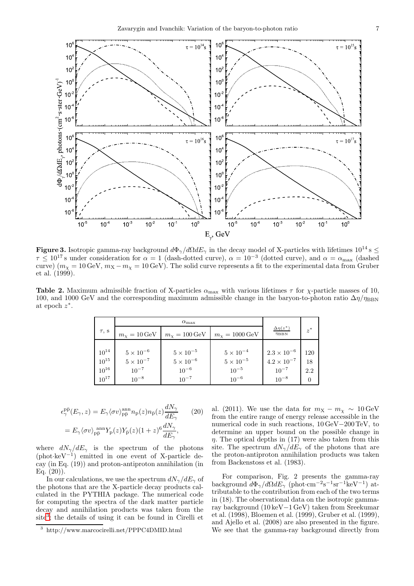

**Figure 3.** Isotropic gamma-ray background  $d\Phi_{\gamma}/d\Omega dE_{\gamma}$  in the decay model of X-particles with lifetimes  $10^{14}$  s  $\leq$  $\tau \leq 10^{17}$  s under consideration for  $\alpha = 1$  (dash-dotted curve),  $\alpha = 10^{-3}$  (dotted curve), and  $\alpha = \alpha_{\text{max}}$  (dashed curve)  $(m_\chi = 10 \text{ GeV}, m_\chi - m_\chi = 10 \text{ GeV})$ . The solid curve represents a fit to the experimental data from Gruber et al. (1999).

**Table 2.** Maximum admissible fraction of X-particles  $\alpha_{\text{max}}$  with various lifetimes  $\tau$  for  $\chi$ -particle masses of 10, 100, and 1000 GeV and the corresponding maximum admissible change in the baryon-to-photon ratio  $\Delta\eta/\eta_{\rm BBN}$ at epoch  $z^*$ .

| $\tau$ , s | $m_{\chi} = 10 \,\text{GeV}$ | $m_X = 100 \,\text{GeV}$ | $m_{\chi} = 1000 \,\text{GeV}$ | $\Delta\eta(z^*)$<br>$\eta_{\rm BBN}$ | $z^*$ |
|------------|------------------------------|--------------------------|--------------------------------|---------------------------------------|-------|
|            |                              |                          |                                |                                       |       |
| $10^{14}$  | $5 \times 10^{-6}$           | $5\times10^{-5}$         | $5 \times 10^{-4}$             | $2.3 \times 10^{-6}$                  | 120   |
| $10^{15}$  | $5\times10^{-7}$             | $5\times10^{-6}$         | $5\times10^{-5}$               | $4.2 \times 10^{-7}$                  | 18    |
| $10^{16}$  | $10^{-7}$                    | $10^{-6}$                | $10^{-5}$                      | $10^{-7}$                             | 2.2   |
| $10^{17}$  | $10^{-8}$                    | $10^{-7}$                | $10^{-6}$                      | $10^{-8}$                             | 0     |

$$
\epsilon^{\bar{p}\bar{p}}_{\gamma}(E_{\gamma}, z) = E_{\gamma} \langle \sigma v \rangle^{\rm ann}_{\bar{p}\bar{p}} n_{\bar{p}}(z) n_{\bar{p}}(z) \frac{dN_{\gamma}}{dE_{\gamma}} \qquad (20)
$$

$$
= E_{\gamma} \langle \sigma v \rangle^{\rm ann}_{\bar{p}\bar{p}} Y_{\bar{p}}(z) Y_{\bar{p}}(z) (1+z)^{6} \frac{dN_{\gamma}}{dE_{\gamma}},
$$

where  $dN_{\gamma}/dE_{\gamma}$  is the spectrum of the photons (phot·keV<sup>−</sup><sup>1</sup> ) emitted in one event of X-particle decay (in Eq. (19)) and proton-antiproton annihilation (in Eq.  $(20)$ ).

In our calculations, we use the spectrum  $dN_{\gamma}/dE_{\gamma}$  of the photons that are the X-particle decay products calculated in the PYTHIA package. The numerical code for computing the spectra of the dark matter particle decay and annihilation products was taken from the site<sup>[3](#page-6-0)</sup>; the details of using it can be found in Cirelli et

al. (2011). We use the data for  $m_X - m_\chi \sim 10 \,\text{GeV}$ from the entire range of energy release accessible in the numerical code in such reactions, 10 GeV−200 TeV, to determine an upper bound on the possible change in  $\eta$ . The optical depths in (17) were also taken from this site. The spectrum  $dN_{\gamma}/dE_{\gamma}$  of the photons that are the proton-antiproton annihilation products was taken from Backenstoss et al. (1983).

For comparison, Fig. 2 presents the gamma-ray background  $d\Phi_{\gamma}/d\Omega dE_{\gamma}$  (phot·cm<sup>-2</sup>s<sup>-1</sup>sr<sup>-1</sup>keV<sup>-1</sup>) attributable to the contribution from each of the two terms in (18). The observational data on the isotropic gammaray background (10 keV−1 GeV) taken from Sreekumar et al. (1998), Bloemen et al. (1999), Gruber et al. (1999), and Ajello et al. (2008) are also presented in the figure. We see that the gamma-ray background directly from

<span id="page-6-0"></span><sup>3</sup> http://www.marcocirelli.net/PPPC4DMID.html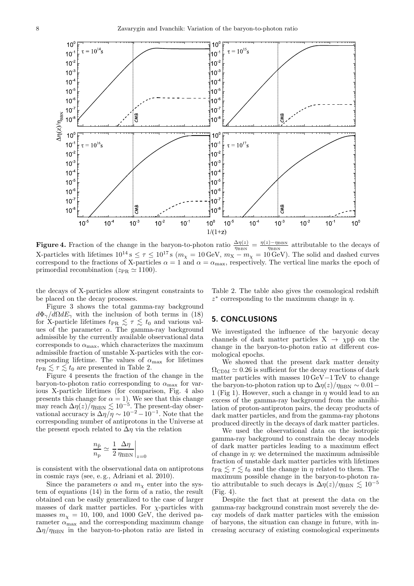

**Figure 4.** Fraction of the change in the baryon-to-photon ratio  $\frac{\Delta \eta(z)}{\eta_{\rm BBN}} = \frac{\eta(z) - \eta_{\rm BBN}}{\eta_{\rm BBN}}$  $\frac{D-\eta_{\rm BBN}}{\eta_{\rm BBN}}$  attributable to the decays of X-particles with lifetimes  $10^{14}$  s  $\leq \tau \leq 10^{17}$  s  $(m_{\chi} = 10 \,\text{GeV}, m_{X} - m_{\chi} = 10 \,\text{GeV})$ . The solid and dashed curves correspond to the fractions of X-particles  $\alpha = 1$  and  $\alpha = \alpha_{\text{max}}$ , respectively. The vertical line marks the epoch of primordial recombination ( $z_{PR} \simeq 1100$ ).

the decays of X-particles allow stringent constraints to be placed on the decay processes.

Figure 3 shows the total gamma-ray background  $d\Phi_{\gamma}/d\Omega dE_{\gamma}$  with the inclusion of both terms in (18) for X-particle lifetimes  $t_{PR} \leq \tau \leq t_0$  and various values of the parameter  $\alpha$ . The gamma-ray background admissible by the currently available observational data corresponds to  $\alpha_{\text{max}}$ , which characterizes the maximum admissible fraction of unstable X-particles with the corresponding lifetime. The values of  $\alpha_{\text{max}}$  for lifetimes  $t_{PR} \lesssim \tau \lesssim t_0$  are presented in Table 2.

Figure 4 presents the fraction of the change in the baryon-to-photon ratio corresponding to  $\alpha_{\text{max}}$  for various X-particle lifetimes (for comparison, Fig. 4 also presents this change for  $\alpha = 1$ ). We see that this change may reach  $\Delta \eta(z)/\eta_{\rm BBN} \lesssim 10^{-5}$ . The present-day observational accuracy is  $\Delta \eta / \eta \sim 10^{-2} - 10^{-1}$ . Note that the corresponding number of antiprotons in the Universe at the present epoch related to  $\Delta \eta$  via the relation

$$
\frac{n_{\bar{\text{p}}}}{n_{\text{p}}} \simeq \left. \frac{1}{2} \frac{\Delta \eta}{\eta_{\text{BBN}}} \right|_{z=0}
$$

is consistent with the observational data on antiprotons in cosmic rays (see, e. g., Adriani et al. 2010).

Since the parameters  $\alpha$  and  $m_{\chi}$  enter into the system of equations (14) in the form of a ratio, the result obtained can be easily generalized to the case of larger masses of dark matter particles. For  $\chi$ -particles with masses  $m<sub>x</sub> = 10, 100,$  and 1000 GeV, the derived parameter  $\alpha_{\text{max}}$  and the corresponding maximum change  $\Delta\eta/\eta_{\rm BBN}$  in the baryon-to-photon ratio are listed in Table 2. The table also gives the cosmological redshift  $z^*$  corresponding to the maximum change in  $\eta$ .

#### 5. CONCLUSIONS

We investigated the influence of the baryonic decay channels of dark matter particles  $X \rightarrow \chi p\bar{p}$  on the change in the baryon-to-photon ratio at different cosmological epochs.

We showed that the present dark matter density  $\Omega_{\rm CDM} \simeq 0.26$  is sufficient for the decay reactions of dark matter particles with masses  $10\,{\rm GeV}\!-\!1\,{\rm TeV}$  to change the baryon-to-photon ration up to  $\Delta \eta(z)/\eta_{\rm BBN} \sim 0.01$  – 1 (Fig 1). However, such a change in  $\eta$  would lead to an excess of the gamma-ray background from the annihilation of proton-antiproton pairs, the decay products of dark matter particles, and from the gamma-ray photons produced directly in the decays of dark matter particles.

We used the observational data on the isotropic gamma-ray background to constrain the decay models of dark matter particles leading to a maximum effect of change in  $\eta$ : we determined the maximum admissible fraction of unstable dark matter particles with lifetimes  $t_{PR} \lesssim \tau \lesssim t_0$  and the change in  $\eta$  related to them. The maximum possible change in the baryon-to-photon ratio attributable to such decays is  $\Delta \eta(z)/\eta_{\rm BBN} \lesssim 10^{-5}$ (Fig. 4).

Despite the fact that at present the data on the gamma-ray background constrain most severely the decay models of dark matter particles with the emission of baryons, the situation can change in future, with increasing accuracy of existing cosmological experiments